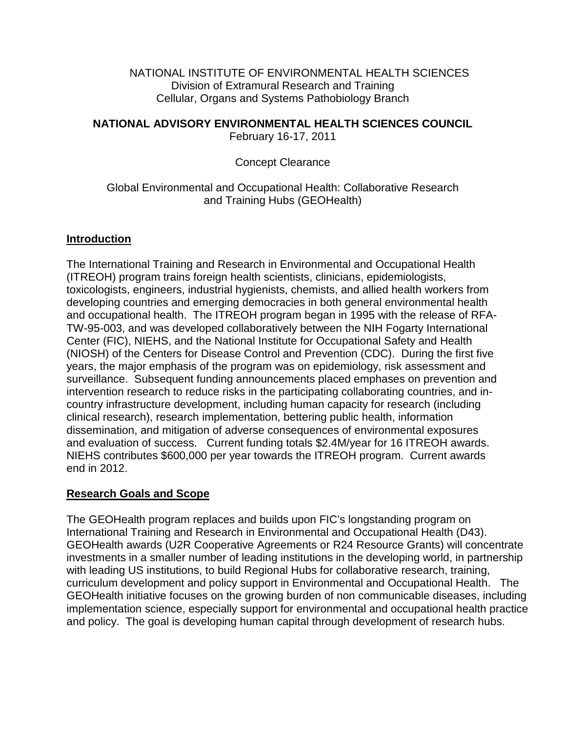NATIONAL INSTITUTE OF ENVIRONMENTAL HEALTH SCIENCES Division of Extramural Research and Training Cellular, Organs and Systems Pathobiology Branch

## **NATIONAL ADVISORY ENVIRONMENTAL HEALTH SCIENCES COUNCIL**

February 16-17, 2011

## Concept Clearance

## Global Environmental and Occupational Health: Collaborative Research and Training Hubs (GEOHealth)

## **Introduction**

The International Training and Research in Environmental and Occupational Health (ITREOH) program trains foreign health scientists, clinicians, epidemiologists, toxicologists, engineers, industrial hygienists, chemists, and allied health workers from developing countries and emerging democracies in both general environmental health and occupational health. The ITREOH program began in 1995 with the release of RFA-TW-95-003, and was developed collaboratively between the NIH Fogarty International Center (FIC), NIEHS, and the National Institute for Occupational Safety and Health (NIOSH) of the Centers for Disease Control and Prevention (CDC). During the first five years, the major emphasis of the program was on epidemiology, risk assessment and surveillance. Subsequent funding announcements placed emphases on prevention and intervention research to reduce risks in the participating collaborating countries, and incountry infrastructure development, including human capacity for research (including clinical research), research implementation, bettering public health, information dissemination, and mitigation of adverse consequences of environmental exposures and evaluation of success. Current funding totals \$2.4M/year for 16 ITREOH awards. NIEHS contributes \$600,000 per year towards the ITREOH program. Current awards end in 2012.

#### **Research Goals and Scope**

The GEOHealth program replaces and builds upon FIC's longstanding program on International Training and Research in Environmental and Occupational Health (D43). GEOHealth awards (U2R Cooperative Agreements or R24 Resource Grants) will concentrate investments in a smaller number of leading institutions in the developing world, in partnership with leading US institutions, to build Regional Hubs for collaborative research, training, curriculum development and policy support in Environmental and Occupational Health. The GEOHealth initiative focuses on the growing burden of non communicable diseases, including implementation science, especially support for environmental and occupational health practice and policy. The goal is developing human capital through development of research hubs.